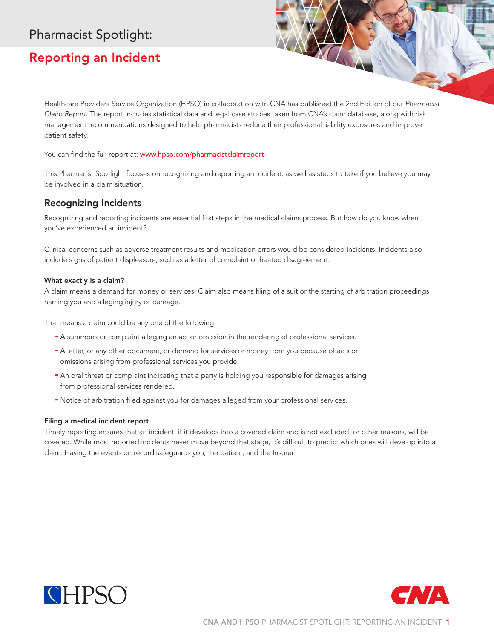# Pharmacist Spotlight:

# Reporting an Incident

Healthcare Providers Service Organization (HPSO) in collaboration with CNA has published the 2nd Edition of our *Pharmacist Claim Report*. The report includes statistical data and legal case studies taken from CNA's claim database, along with risk management recommendations designed to help pharmacists reduce their professional liability exposures and improve patient safety.

You can find the full report at: **www.hpso.com/pharmacistclaimreport** 

This Pharmacist Spotlight focuses on recognizing and reporting an incident, as well as steps to take if you believe you may be involved in a claim situation.

## Recognizing Incidents

Recognizing and reporting incidents are essential first steps in the medical claims process. But how do you know when you've experienced an incident?

Clinical concerns such as adverse treatment results and medication errors would be considered incidents. Incidents also include signs of patient displeasure, such as a letter of complaint or heated disagreement.

### What exactly is a claim?

A claim means a demand for money or services. Claim also means filing of a suit or the starting of arbitration proceedings naming you and alleging injury or damage.

That means a claim could be any one of the following:

- A summons or complaint alleging an act or omission in the rendering of professional services.
- A letter, or any other document, or demand for services or money from you because of acts or omissions arising from professional services you provide.
- An oral threat or complaint indicating that a party is holding you responsible for damages arising from professional services rendered.
- Notice of arbitration filed against you for damages alleged from your professional services.

#### Filing a medical incident report

Timely reporting ensures that an incident, if it develops into a covered claim and is not excluded for other reasons, will be covered. While most reported incidents never move beyond that stage, it's difficult to predict which ones will develop into a claim. Having the events on record safeguards you, the patient, and the Insurer.



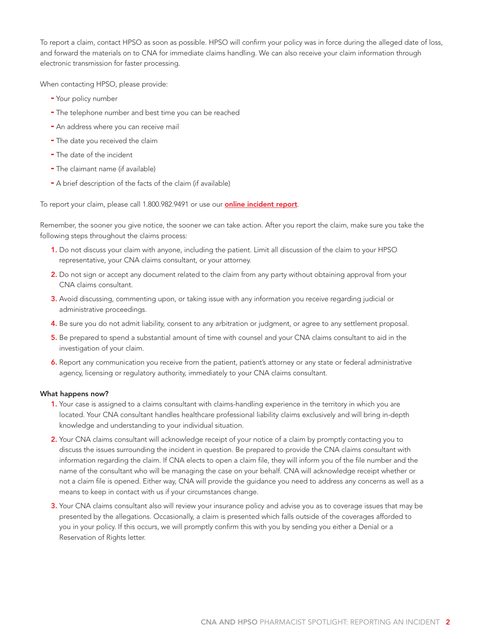To report a claim, contact HPSO as soon as possible. HPSO will confirm your policy was in force during the alleged date of loss, and forward the materials on to CNA for immediate claims handling. We can also receive your claim information through electronic transmission for faster processing.

When contacting HPSO, please provide:

- Your policy number
- The telephone number and best time you can be reached
- An address where you can receive mail
- The date you received the claim
- The date of the incident
- The claimant name (if available)
- A brief description of the facts of the claim (if available)

To report your claim, please call 1.800.982.9491 or use our **[online incident report](www.hpso.com/support/incident-report)**.

Remember, the sooner you give notice, the sooner we can take action. After you report the claim, make sure you take the following steps throughout the claims process:

- 1. Do not discuss your claim with anyone, including the patient. Limit all discussion of the claim to your HPSO representative, your CNA claims consultant, or your attorney.
- 2. Do not sign or accept any document related to the claim from any party without obtaining approval from your CNA claims consultant.
- 3. Avoid discussing, commenting upon, or taking issue with any information you receive regarding judicial or administrative proceedings.
- 4. Be sure you do not admit liability, consent to any arbitration or judgment, or agree to any settlement proposal.
- 5. Be prepared to spend a substantial amount of time with counsel and your CNA claims consultant to aid in the investigation of your claim.
- 6. Report any communication you receive from the patient, patient's attorney or any state or federal administrative agency, licensing or regulatory authority, immediately to your CNA claims consultant.

#### What happens now?

- 1. Your case is assigned to a claims consultant with claims-handling experience in the territory in which you are located. Your CNA consultant handles healthcare professional liability claims exclusively and will bring in-depth knowledge and understanding to your individual situation.
- 2. Your CNA claims consultant will acknowledge receipt of your notice of a claim by promptly contacting you to discuss the issues surrounding the incident in question. Be prepared to provide the CNA claims consultant with information regarding the claim. If CNA elects to open a claim file, they will inform you of the file number and the name of the consultant who will be managing the case on your behalf. CNA will acknowledge receipt whether or not a claim file is opened. Either way, CNA will provide the guidance you need to address any concerns as well as a means to keep in contact with us if your circumstances change.
- 3. Your CNA claims consultant also will review your insurance policy and advise you as to coverage issues that may be presented by the allegations. Occasionally, a claim is presented which falls outside of the coverages afforded to you in your policy. If this occurs, we will promptly confirm this with you by sending you either a Denial or a Reservation of Rights letter.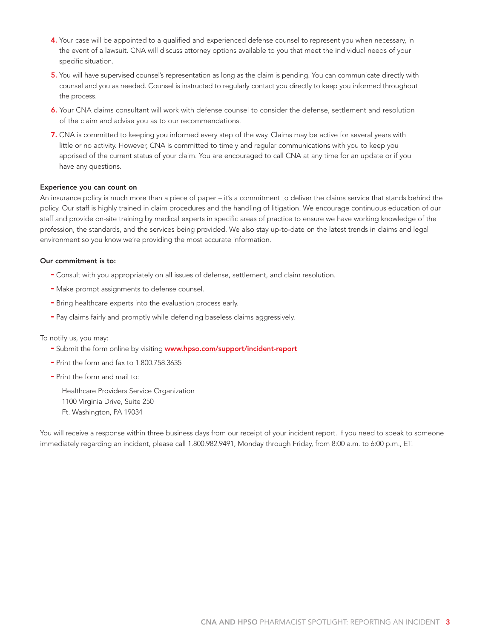- 4. Your case will be appointed to a qualified and experienced defense counsel to represent you when necessary, in the event of a lawsuit. CNA will discuss attorney options available to you that meet the individual needs of your specific situation.
- 5. You will have supervised counsel's representation as long as the claim is pending. You can communicate directly with counsel and you as needed. Counsel is instructed to regularly contact you directly to keep you informed throughout the process.
- 6. Your CNA claims consultant will work with defense counsel to consider the defense, settlement and resolution of the claim and advise you as to our recommendations.
- 7. CNA is committed to keeping you informed every step of the way. Claims may be active for several years with little or no activity. However, CNA is committed to timely and regular communications with you to keep you apprised of the current status of your claim. You are encouraged to call CNA at any time for an update or if you have any questions.

#### Experience you can count on

An insurance policy is much more than a piece of paper – it's a commitment to deliver the claims service that stands behind the policy. Our staff is highly trained in claim procedures and the handling of litigation. We encourage continuous education of our staff and provide on-site training by medical experts in specific areas of practice to ensure we have working knowledge of the profession, the standards, and the services being provided. We also stay up-to-date on the latest trends in claims and legal environment so you know we're providing the most accurate information.

### Our commitment is to:

- Consult with you appropriately on all issues of defense, settlement, and claim resolution.
- Make prompt assignments to defense counsel.
- Bring healthcare experts into the evaluation process early.
- Pay claims fairly and promptly while defending baseless claims aggressively.

#### To notify us, you may:

- Submit the form online by visiting **www.hpso.com/support/incident-report**
- Print the form and fax to 1.800.758.3635
- Print the form and mail to:

Healthcare Providers Service Organization 1100 Virginia Drive, Suite 250 Ft. Washington, PA 19034

You will receive a response within three business days from our receipt of your incident report. If you need to speak to someone immediately regarding an incident, please call 1.800.982.9491, Monday through Friday, from 8:00 a.m. to 6:00 p.m., ET.